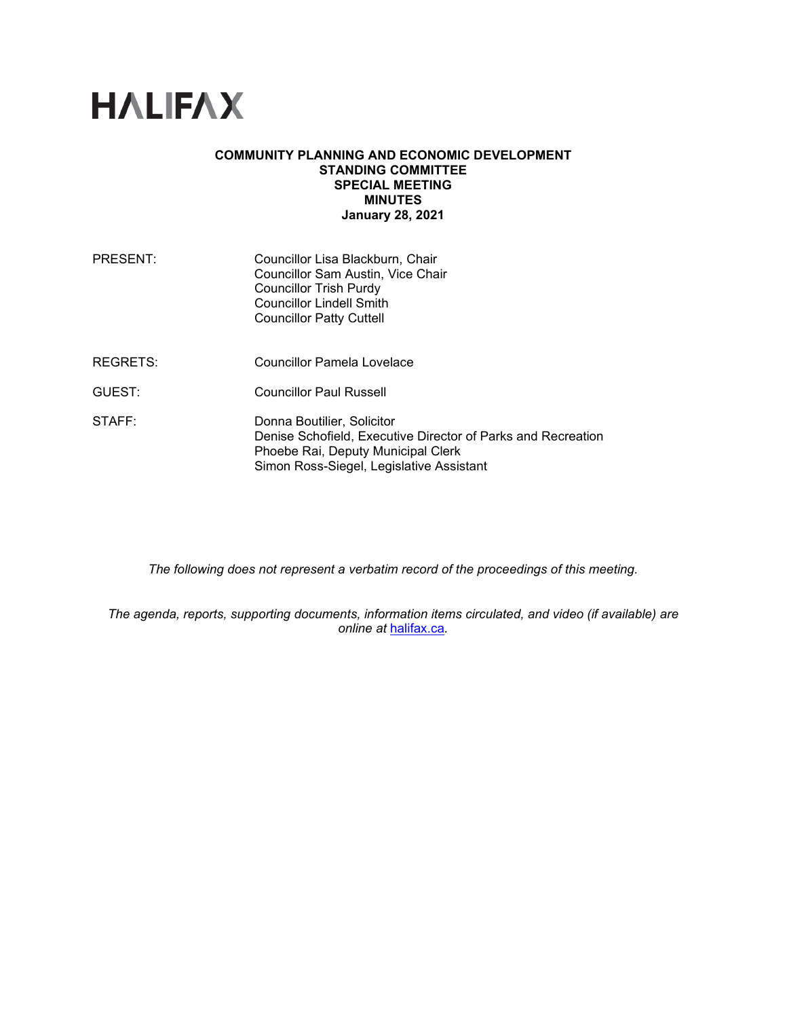# **HALIFAX**

#### **COMMUNITY PLANNING AND ECONOMIC DEVELOPMENT STANDING COMMITTEE SPECIAL MEETING MINUTES January 28, 2021**

| PRESENT: | Councillor Lisa Blackburn, Chair<br>Councillor Sam Austin, Vice Chair<br><b>Councillor Trish Purdy</b><br><b>Councillor Lindell Smith</b><br><b>Councillor Patty Cuttell</b> |
|----------|------------------------------------------------------------------------------------------------------------------------------------------------------------------------------|
| REGRETS: | Councillor Pamela Lovelace                                                                                                                                                   |
| GUEST:   | <b>Councillor Paul Russell</b>                                                                                                                                               |
| STAFF:   | Donna Boutilier, Solicitor<br>Denise Schofield, Executive Director of Parks and Recreation<br>Phoebe Rai, Deputy Municipal Clerk                                             |

*The following does not represent a verbatim record of the proceedings of this meeting.*

Simon Ross-Siegel, Legislative Assistant

*The agenda, reports, supporting documents, information items circulated, and video (if available) are online at* [halifax.ca](http://www.halifax.ca/)*.*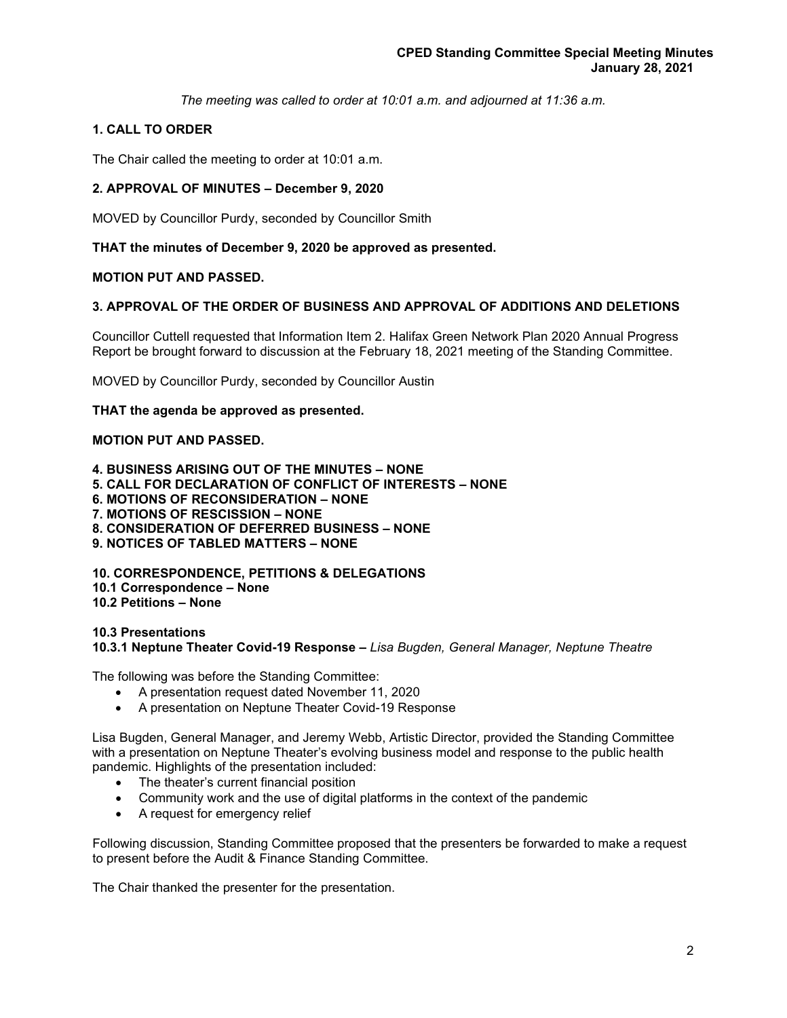*The meeting was called to order at 10:01 a.m. and adjourned at 11:36 a.m.*

# **1. CALL TO ORDER**

The Chair called the meeting to order at 10:01 a.m.

# **2. APPROVAL OF MINUTES – December 9, 2020**

MOVED by Councillor Purdy, seconded by Councillor Smith

## **THAT the minutes of December 9, 2020 be approved as presented.**

## **MOTION PUT AND PASSED.**

## **3. APPROVAL OF THE ORDER OF BUSINESS AND APPROVAL OF ADDITIONS AND DELETIONS**

Councillor Cuttell requested that Information Item 2. Halifax Green Network Plan 2020 Annual Progress Report be brought forward to discussion at the February 18, 2021 meeting of the Standing Committee.

MOVED by Councillor Purdy, seconded by Councillor Austin

## **THAT the agenda be approved as presented.**

## **MOTION PUT AND PASSED.**

**4. BUSINESS ARISING OUT OF THE MINUTES – NONE**

- **5. CALL FOR DECLARATION OF CONFLICT OF INTERESTS – NONE**
- **6. MOTIONS OF RECONSIDERATION – NONE**
- **7. MOTIONS OF RESCISSION – NONE**
- **8. CONSIDERATION OF DEFERRED BUSINESS – NONE**
- **9. NOTICES OF TABLED MATTERS – NONE**

**10. CORRESPONDENCE, PETITIONS & DELEGATIONS 10.1 Correspondence – None** 

**10.2 Petitions – None**

**10.3 Presentations 10.3.1 Neptune Theater Covid-19 Response –** *Lisa Bugden, General Manager, Neptune Theatre*

The following was before the Standing Committee:

- A presentation request dated November 11, 2020
- A presentation on Neptune Theater Covid-19 Response

Lisa Bugden, General Manager, and Jeremy Webb, Artistic Director, provided the Standing Committee with a presentation on Neptune Theater's evolving business model and response to the public health pandemic. Highlights of the presentation included:

- The theater's current financial position
- Community work and the use of digital platforms in the context of the pandemic
- A request for emergency relief

Following discussion, Standing Committee proposed that the presenters be forwarded to make a request to present before the Audit & Finance Standing Committee.

The Chair thanked the presenter for the presentation.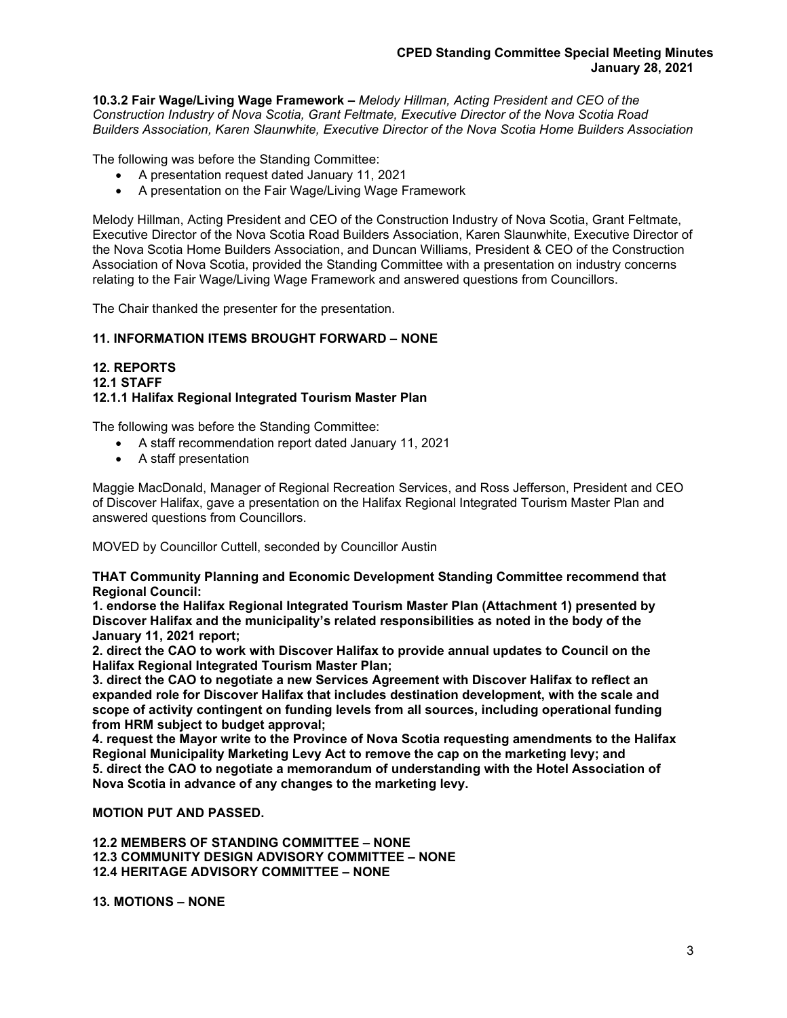**10.3.2 Fair Wage/Living Wage Framework –** *Melody Hillman, Acting President and CEO of the Construction Industry of Nova Scotia, Grant Feltmate, Executive Director of the Nova Scotia Road Builders Association, Karen Slaunwhite, Executive Director of the Nova Scotia Home Builders Association*

The following was before the Standing Committee:

- A presentation request dated January 11, 2021
- A presentation on the Fair Wage/Living Wage Framework

Melody Hillman, Acting President and CEO of the Construction Industry of Nova Scotia, Grant Feltmate, Executive Director of the Nova Scotia Road Builders Association, Karen Slaunwhite, Executive Director of the Nova Scotia Home Builders Association, and Duncan Williams, President & CEO of the Construction Association of Nova Scotia, provided the Standing Committee with a presentation on industry concerns relating to the Fair Wage/Living Wage Framework and answered questions from Councillors.

The Chair thanked the presenter for the presentation.

# **11. INFORMATION ITEMS BROUGHT FORWARD – NONE**

#### **12. REPORTS 12.1 STAFF 12.1.1 Halifax Regional Integrated Tourism Master Plan**

The following was before the Standing Committee:

- A staff recommendation report dated January 11, 2021
- A staff presentation

Maggie MacDonald, Manager of Regional Recreation Services, and Ross Jefferson, President and CEO of Discover Halifax, gave a presentation on the Halifax Regional Integrated Tourism Master Plan and answered questions from Councillors.

MOVED by Councillor Cuttell, seconded by Councillor Austin

**THAT Community Planning and Economic Development Standing Committee recommend that Regional Council:**

**1. endorse the Halifax Regional Integrated Tourism Master Plan (Attachment 1) presented by Discover Halifax and the municipality's related responsibilities as noted in the body of the January 11, 2021 report;**

**2. direct the CAO to work with Discover Halifax to provide annual updates to Council on the Halifax Regional Integrated Tourism Master Plan;** 

**3. direct the CAO to negotiate a new Services Agreement with Discover Halifax to reflect an expanded role for Discover Halifax that includes destination development, with the scale and scope of activity contingent on funding levels from all sources, including operational funding from HRM subject to budget approval;**

**4. request the Mayor write to the Province of Nova Scotia requesting amendments to the Halifax Regional Municipality Marketing Levy Act to remove the cap on the marketing levy; and 5. direct the CAO to negotiate a memorandum of understanding with the Hotel Association of Nova Scotia in advance of any changes to the marketing levy.**

**MOTION PUT AND PASSED.**

**12.2 MEMBERS OF STANDING COMMITTEE – NONE 12.3 COMMUNITY DESIGN ADVISORY COMMITTEE – NONE 12.4 HERITAGE ADVISORY COMMITTEE – NONE**

**13. MOTIONS – NONE**